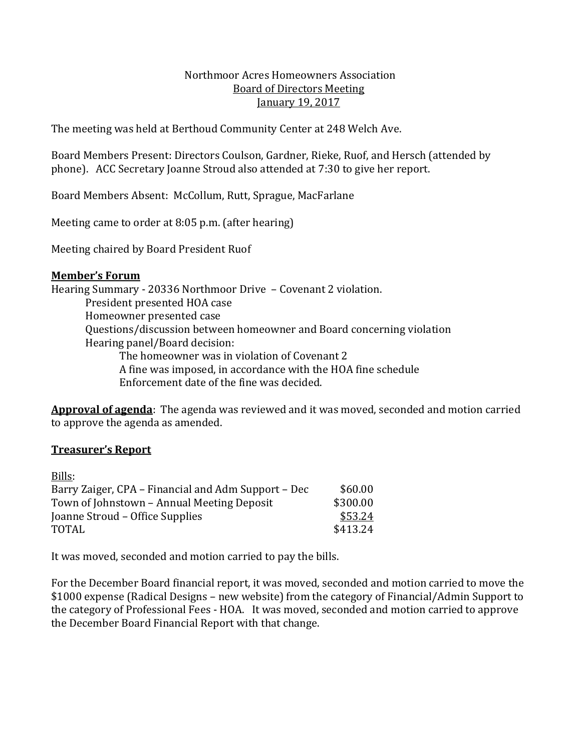#### Northmoor Acres Homeowners Association Board of Directors Meeting January 19, 2017

The meeting was held at Berthoud Community Center at 248 Welch Ave.

Board Members Present: Directors Coulson, Gardner, Rieke, Ruof, and Hersch (attended by phone). ACC Secretary Joanne Stroud also attended at 7:30 to give her report.

Board Members Absent: McCollum, Rutt, Sprague, MacFarlane

Meeting came to order at 8:05 p.m. (after hearing)

Meeting chaired by Board President Ruof

#### **Member's Forum**

Hearing Summary - 20336 Northmoor Drive – Covenant 2 violation. President presented HOA case Homeowner presented case Questions/discussion between homeowner and Board concerning violation Hearing panel/Board decision: The homeowner was in violation of Covenant 2 A fine was imposed, in accordance with the HOA fine schedule Enforcement date of the fine was decided.

**Approval of agenda**: The agenda was reviewed and it was moved, seconded and motion carried to approve the agenda as amended.

### **Treasurer's Report**

| Bills:                                              |          |
|-----------------------------------------------------|----------|
| Barry Zaiger, CPA – Financial and Adm Support – Dec | \$60.00  |
| Town of Johnstown - Annual Meeting Deposit          | \$300.00 |
| Joanne Stroud – Office Supplies                     | \$53.24  |
| <b>TOTAL</b>                                        | \$413.24 |
|                                                     |          |

It was moved, seconded and motion carried to pay the bills.

For the December Board financial report, it was moved, seconded and motion carried to move the \$1000 expense (Radical Designs – new website) from the category of Financial/Admin Support to the category of Professional Fees - HOA. It was moved, seconded and motion carried to approve the December Board Financial Report with that change.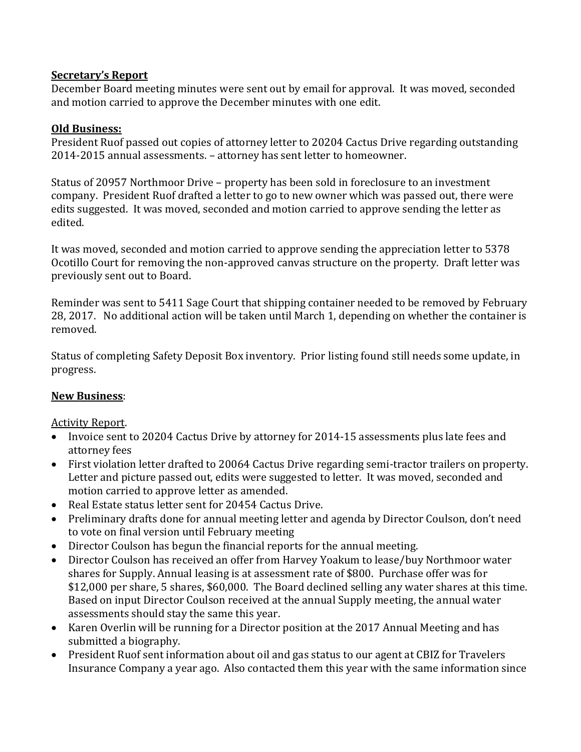## **Secretary's Report**

December Board meeting minutes were sent out by email for approval. It was moved, seconded and motion carried to approve the December minutes with one edit.

## **Old Business:**

President Ruof passed out copies of attorney letter to 20204 Cactus Drive regarding outstanding 2014-2015 annual assessments. – attorney has sent letter to homeowner.

Status of 20957 Northmoor Drive – property has been sold in foreclosure to an investment company. President Ruof drafted a letter to go to new owner which was passed out, there were edits suggested. It was moved, seconded and motion carried to approve sending the letter as edited.

It was moved, seconded and motion carried to approve sending the appreciation letter to 5378 Ocotillo Court for removing the non-approved canvas structure on the property. Draft letter was previously sent out to Board.

Reminder was sent to 5411 Sage Court that shipping container needed to be removed by February 28, 2017. No additional action will be taken until March 1, depending on whether the container is removed.

Status of completing Safety Deposit Box inventory. Prior listing found still needs some update, in progress.

# **New Business**:

### Activity Report.

- Invoice sent to 20204 Cactus Drive by attorney for 2014-15 assessments plus late fees and attorney fees
- First violation letter drafted to 20064 Cactus Drive regarding semi-tractor trailers on property. Letter and picture passed out, edits were suggested to letter. It was moved, seconded and motion carried to approve letter as amended.
- Real Estate status letter sent for 20454 Cactus Drive.
- Preliminary drafts done for annual meeting letter and agenda by Director Coulson, don't need to vote on final version until February meeting
- Director Coulson has begun the financial reports for the annual meeting.
- Director Coulson has received an offer from Harvey Yoakum to lease/buy Northmoor water shares for Supply. Annual leasing is at assessment rate of \$800. Purchase offer was for \$12,000 per share, 5 shares, \$60,000. The Board declined selling any water shares at this time. Based on input Director Coulson received at the annual Supply meeting, the annual water assessments should stay the same this year.
- Karen Overlin will be running for a Director position at the 2017 Annual Meeting and has submitted a biography.
- President Ruof sent information about oil and gas status to our agent at CBIZ for Travelers Insurance Company a year ago. Also contacted them this year with the same information since